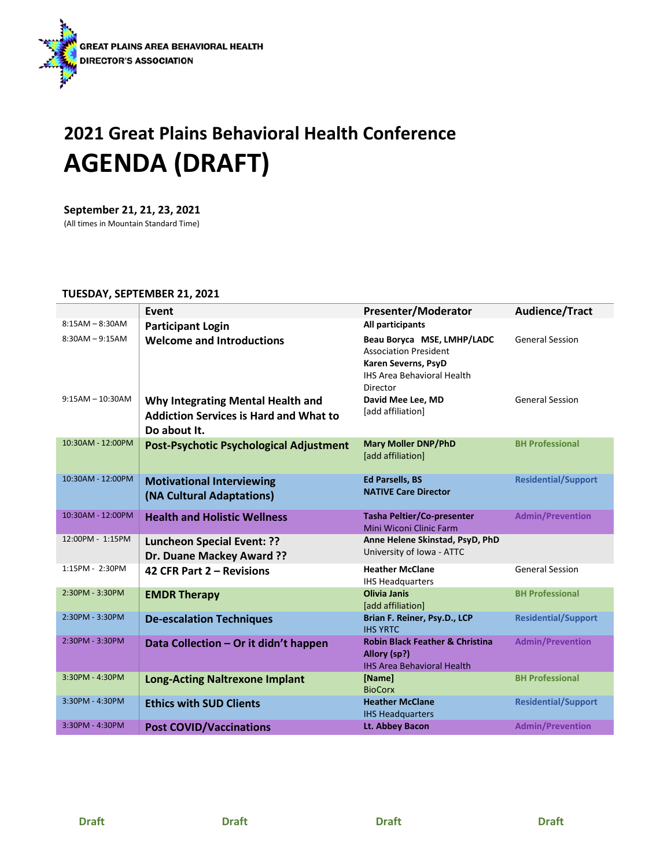

## **2021 Great Plains Behavioral Health Conference AGENDA (DRAFT)**

**September 21, 21, 23, 2021** (All times in Mountain Standard Time)

## **TUESDAY, SEPTEMBER 21, 2021**

|                    | Event                                                                                              | <b>Presenter/Moderator</b>                                                                                                         | Audience/Tract             |
|--------------------|----------------------------------------------------------------------------------------------------|------------------------------------------------------------------------------------------------------------------------------------|----------------------------|
| $8:15AM - 8:30AM$  | <b>Participant Login</b>                                                                           | All participants                                                                                                                   |                            |
| $8:30AM - 9:15AM$  | <b>Welcome and Introductions</b>                                                                   | Beau Boryca MSE, LMHP/LADC<br><b>Association President</b><br>Karen Severns, PsyD<br><b>IHS Area Behavioral Health</b><br>Director | <b>General Session</b>     |
| $9:15AM - 10:30AM$ | Why Integrating Mental Health and<br><b>Addiction Services is Hard and What to</b><br>Do about It. | David Mee Lee, MD<br>[add affiliation]                                                                                             | <b>General Session</b>     |
| 10:30AM - 12:00PM  | <b>Post-Psychotic Psychological Adjustment</b>                                                     | <b>Mary Moller DNP/PhD</b><br>[add affiliation]                                                                                    | <b>BH Professional</b>     |
| 10:30AM - 12:00PM  | <b>Motivational Interviewing</b><br>(NA Cultural Adaptations)                                      | <b>Ed Parsells, BS</b><br><b>NATIVE Care Director</b>                                                                              | <b>Residential/Support</b> |
| 10:30AM - 12:00PM  | <b>Health and Holistic Wellness</b>                                                                | <b>Tasha Peltier/Co-presenter</b><br>Mini Wiconi Clinic Farm                                                                       | <b>Admin/Prevention</b>    |
| 12:00PM - 1:15PM   | <b>Luncheon Special Event: ??</b><br>Dr. Duane Mackey Award ??                                     | Anne Helene Skinstad, PsyD, PhD<br>University of Iowa - ATTC                                                                       |                            |
| 1:15PM - 2:30PM    | 42 CFR Part 2 - Revisions                                                                          | <b>Heather McClane</b><br><b>IHS Headquarters</b>                                                                                  | <b>General Session</b>     |
| 2:30PM - 3:30PM    | <b>EMDR Therapy</b>                                                                                | <b>Olivia Janis</b><br>[add affiliation]                                                                                           | <b>BH Professional</b>     |
| 2:30PM - 3:30PM    | <b>De-escalation Techniques</b>                                                                    | Brian F. Reiner, Psy.D., LCP<br><b>IHS YRTC</b>                                                                                    | <b>Residential/Support</b> |
| 2:30PM - 3:30PM    | Data Collection - Or it didn't happen                                                              | <b>Robin Black Feather &amp; Christina</b><br>Allory (sp?)<br><b>IHS Area Behavioral Health</b>                                    | <b>Admin/Prevention</b>    |
| 3:30PM - 4:30PM    | <b>Long-Acting Naltrexone Implant</b>                                                              | [Name]<br><b>BioCorx</b>                                                                                                           | <b>BH Professional</b>     |
| 3:30PM - 4:30PM    | <b>Ethics with SUD Clients</b>                                                                     | <b>Heather McClane</b><br><b>IHS Headquarters</b>                                                                                  | <b>Residential/Support</b> |
| 3:30PM - 4:30PM    | <b>Post COVID/Vaccinations</b>                                                                     | Lt. Abbey Bacon                                                                                                                    | <b>Admin/Prevention</b>    |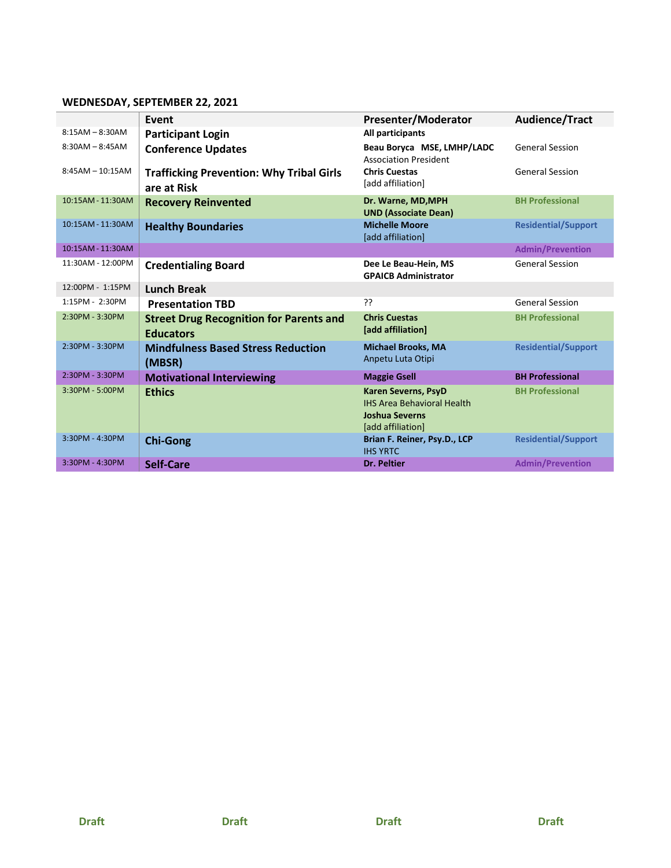## **WEDNESDAY, SEPTEMBER 22, 2021**

|                    | Event                                                              | <b>Presenter/Moderator</b>                                                                                    | Audience/Tract             |
|--------------------|--------------------------------------------------------------------|---------------------------------------------------------------------------------------------------------------|----------------------------|
| $8:15AM - 8:30AM$  | <b>Participant Login</b>                                           | All participants                                                                                              |                            |
| $8:30AM - 8:45AM$  | <b>Conference Updates</b>                                          | Beau Boryca MSE, LMHP/LADC<br><b>Association President</b>                                                    | <b>General Session</b>     |
| $8:45AM - 10:15AM$ | <b>Trafficking Prevention: Why Tribal Girls</b><br>are at Risk     | <b>Chris Cuestas</b><br>[add affiliation]                                                                     | <b>General Session</b>     |
| 10:15AM - 11:30AM  | <b>Recovery Reinvented</b>                                         | Dr. Warne, MD, MPH<br><b>UND (Associate Dean)</b>                                                             | <b>BH Professional</b>     |
| 10:15AM - 11:30AM  | <b>Healthy Boundaries</b>                                          | <b>Michelle Moore</b><br>[add affiliation]                                                                    | <b>Residential/Support</b> |
| 10:15AM - 11:30AM  |                                                                    |                                                                                                               | <b>Admin/Prevention</b>    |
| 11:30AM - 12:00PM  | <b>Credentialing Board</b>                                         | Dee Le Beau-Hein, MS<br><b>GPAICB Administrator</b>                                                           | <b>General Session</b>     |
| 12:00PM - 1:15PM   | <b>Lunch Break</b>                                                 |                                                                                                               |                            |
| 1:15PM - 2:30PM    | <b>Presentation TBD</b>                                            | ??                                                                                                            | <b>General Session</b>     |
| 2:30PM - 3:30PM    | <b>Street Drug Recognition for Parents and</b><br><b>Educators</b> | <b>Chris Cuestas</b><br>[add affiliation]                                                                     | <b>BH Professional</b>     |
| 2:30PM - 3:30PM    | <b>Mindfulness Based Stress Reduction</b><br>(MBSR)                | <b>Michael Brooks, MA</b><br>Anpetu Luta Otipi                                                                | <b>Residential/Support</b> |
| 2:30PM - 3:30PM    | <b>Motivational Interviewing</b>                                   | <b>Maggie Gsell</b>                                                                                           | <b>BH Professional</b>     |
| 3:30PM - 5:00PM    | <b>Ethics</b>                                                      | <b>Karen Severns, PsyD</b><br><b>IHS Area Behavioral Health</b><br><b>Joshua Severns</b><br>[add affiliation] | <b>BH Professional</b>     |
| 3:30PM - 4:30PM    | <b>Chi-Gong</b>                                                    | Brian F. Reiner, Psy.D., LCP<br><b>IHS YRTC</b>                                                               | <b>Residential/Support</b> |
| 3:30PM - 4:30PM    | Self-Care                                                          | <b>Dr. Peltier</b>                                                                                            | <b>Admin/Prevention</b>    |